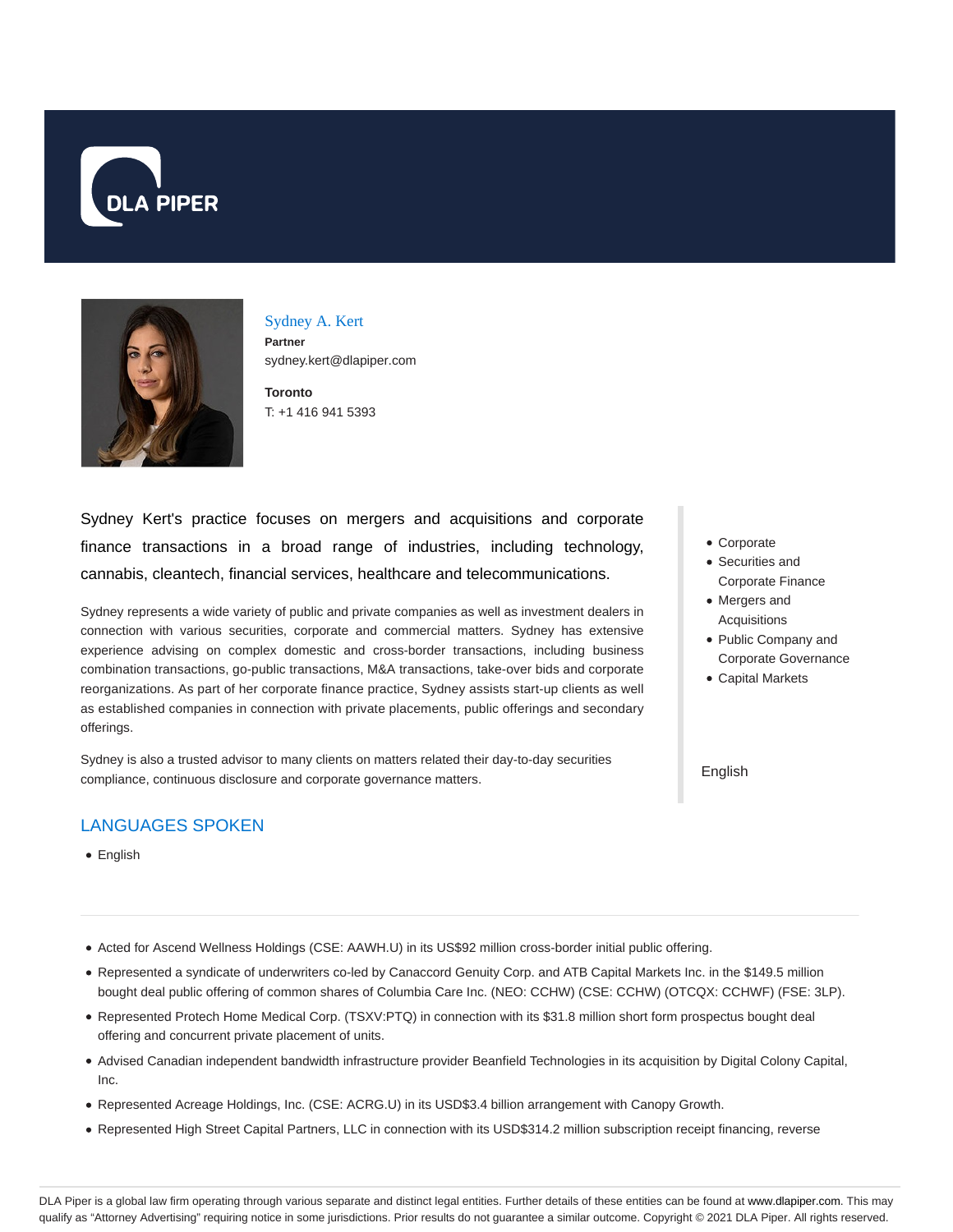



Sydney A. Kert **Partner** sydney.kert@dlapiper.com

**Toronto** T: +1 416 941 5393

Sydney Kert's practice focuses on mergers and acquisitions and corporate finance transactions in a broad range of industries, including technology, cannabis, cleantech, financial services, healthcare and telecommunications.

Sydney represents a wide variety of public and private companies as well as investment dealers in connection with various securities, corporate and commercial matters. Sydney has extensive experience advising on complex domestic and cross-border transactions, including business combination transactions, go-public transactions, M&A transactions, take-over bids and corporate reorganizations. As part of her corporate finance practice, Sydney assists start-up clients as well as established companies in connection with private placements, public offerings and secondary offerings.

Sydney is also a trusted advisor to many clients on matters related their day-to-day securities compliance, continuous disclosure and corporate governance matters.

# LANGUAGES SPOKEN

English

- Corporate
- Securities and Corporate Finance
- Mergers and Acquisitions
- Public Company and Corporate Governance
- Capital Markets

English

- Acted for Ascend Wellness Holdings (CSE: AAWH.U) in its US\$92 million cross-border initial public offering.
- Represented a syndicate of underwriters co-led by Canaccord Genuity Corp. and ATB Capital Markets Inc. in the \$149.5 million bought deal public offering of common shares of Columbia Care Inc. (NEO: CCHW) (CSE: CCHW) (OTCQX: CCHWF) (FSE: 3LP).
- Represented Protech Home Medical Corp. (TSXV:PTQ) in connection with its \$31.8 million short form prospectus bought deal offering and concurrent private placement of units.
- Advised Canadian independent bandwidth infrastructure provider Beanfield Technologies in its acquisition by Digital Colony Capital, Inc.
- Represented Acreage Holdings, Inc. (CSE: ACRG.U) in its USD\$3.4 billion arrangement with Canopy Growth.
- Represented High Street Capital Partners, LLC in connection with its USD\$314.2 million subscription receipt financing, reverse

DLA Piper is a global law firm operating through various separate and distinct legal entities. Further details of these entities can be found at www.dlapiper.com. This may qualify as "Attorney Advertising" requiring notice in some jurisdictions. Prior results do not guarantee a similar outcome. Copyright © 2021 DLA Piper. All rights reserved.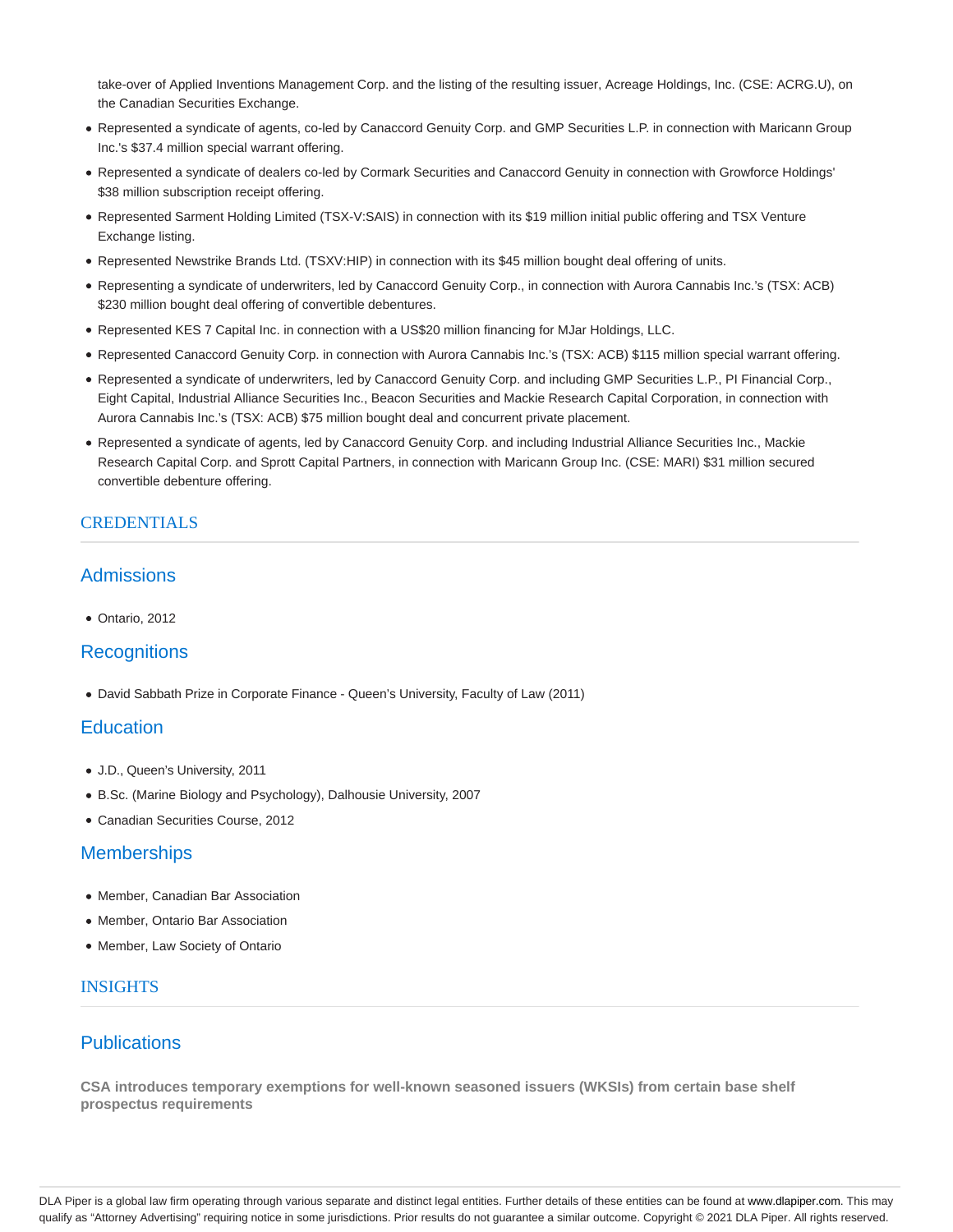take-over of Applied Inventions Management Corp. and the listing of the resulting issuer, Acreage Holdings, Inc. (CSE: ACRG.U), on the Canadian Securities Exchange.

- Represented a syndicate of agents, co-led by Canaccord Genuity Corp. and GMP Securities L.P. in connection with Maricann Group Inc.'s \$37.4 million special warrant offering.
- Represented a syndicate of dealers co-led by Cormark Securities and Canaccord Genuity in connection with Growforce Holdings' \$38 million subscription receipt offering.
- Represented Sarment Holding Limited (TSX-V:SAIS) in connection with its \$19 million initial public offering and TSX Venture Exchange listing.
- Represented Newstrike Brands Ltd. (TSXV:HIP) in connection with its \$45 million bought deal offering of units.
- Representing a syndicate of underwriters, led by Canaccord Genuity Corp., in connection with Aurora Cannabis Inc.'s (TSX: ACB) \$230 million bought deal offering of convertible debentures.
- Represented KES 7 Capital Inc. in connection with a US\$20 million financing for MJar Holdings, LLC.
- Represented Canaccord Genuity Corp. in connection with Aurora Cannabis Inc.'s (TSX: ACB) \$115 million special warrant offering.
- Represented a syndicate of underwriters, led by Canaccord Genuity Corp. and including GMP Securities L.P., PI Financial Corp., Eight Capital, Industrial Alliance Securities Inc., Beacon Securities and Mackie Research Capital Corporation, in connection with Aurora Cannabis Inc.'s (TSX: ACB) \$75 million bought deal and concurrent private placement.
- Represented a syndicate of agents, led by Canaccord Genuity Corp. and including Industrial Alliance Securities Inc., Mackie Research Capital Corp. and Sprott Capital Partners, in connection with Maricann Group Inc. (CSE: MARI) \$31 million secured convertible debenture offering.

# CREDENTIALS

# **Admissions**

Ontario, 2012

## **Recognitions**

David Sabbath Prize in Corporate Finance - Queen's University, Faculty of Law (2011)

## **Education**

- J.D., Queen's University, 2011
- B.Sc. (Marine Biology and Psychology), Dalhousie University, 2007
- Canadian Securities Course, 2012

## **Memberships**

- Member, Canadian Bar Association
- Member, Ontario Bar Association
- Member, Law Society of Ontario

## **INSIGHTS**

# **Publications**

**CSA introduces temporary exemptions for well-known seasoned issuers (WKSIs) from certain base shelf prospectus requirements**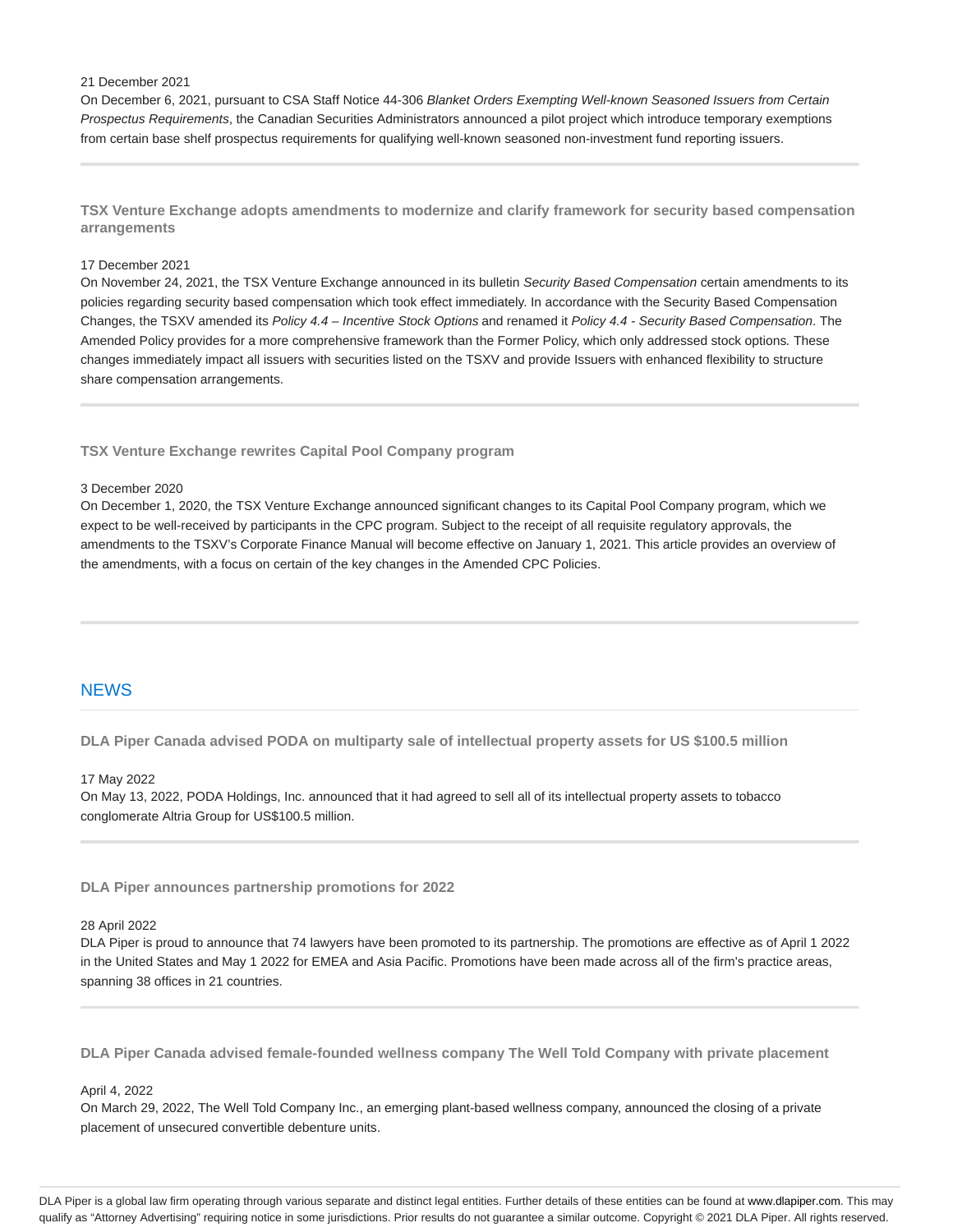#### 21 December 2021

On December 6, 2021, pursuant to CSA Staff Notice 44-306 Blanket Orders Exempting Well-known Seasoned Issuers from Certain Prospectus Requirements, the Canadian Securities Administrators announced a pilot project which introduce temporary exemptions from certain base shelf prospectus requirements for qualifying well-known seasoned non-investment fund reporting issuers.

**TSX Venture Exchange adopts amendments to modernize and clarify framework for security based compensation arrangements**

### 17 December 2021

On November 24, 2021, the TSX Venture Exchange announced in its bulletin Security Based Compensation certain amendments to its policies regarding security based compensation which took effect immediately. In accordance with the Security Based Compensation Changes, the TSXV amended its Policy 4.4 – Incentive Stock Options and renamed it Policy 4.4 - Security Based Compensation. The Amended Policy provides for a more comprehensive framework than the Former Policy, which only addressed stock options. These changes immediately impact all issuers with securities listed on the TSXV and provide Issuers with enhanced flexibility to structure share compensation arrangements.

### **TSX Venture Exchange rewrites Capital Pool Company program**

#### 3 December 2020

On December 1, 2020, the TSX Venture Exchange announced significant changes to its Capital Pool Company program, which we expect to be well-received by participants in the CPC program. Subject to the receipt of all requisite regulatory approvals, the amendments to the TSXV's Corporate Finance Manual will become effective on January 1, 2021. This article provides an overview of the amendments, with a focus on certain of the key changes in the Amended CPC Policies.

### **NEWS**

**DLA Piper Canada advised PODA on multiparty sale of intellectual property assets for US \$100.5 million**

#### 17 May 2022

On May 13, 2022, PODA Holdings, Inc. announced that it had agreed to sell all of its intellectual property assets to tobacco conglomerate Altria Group for US\$100.5 million.

**DLA Piper announces partnership promotions for 2022**

### 28 April 2022

DLA Piper is proud to announce that 74 lawyers have been promoted to its partnership. The promotions are effective as of April 1 2022 in the United States and May 1 2022 for EMEA and Asia Pacific. Promotions have been made across all of the firm's practice areas, spanning 38 offices in 21 countries.

**DLA Piper Canada advised female-founded wellness company The Well Told Company with private placement**

#### April 4, 2022

On March 29, 2022, The Well Told Company Inc., an emerging plant-based wellness company, announced the closing of a private placement of unsecured convertible debenture units.

DLA Piper is a global law firm operating through various separate and distinct legal entities. Further details of these entities can be found at www.dlapiper.com. This may qualify as "Attorney Advertising" requiring notice in some jurisdictions. Prior results do not guarantee a similar outcome. Copyright @ 2021 DLA Piper. All rights reserved.